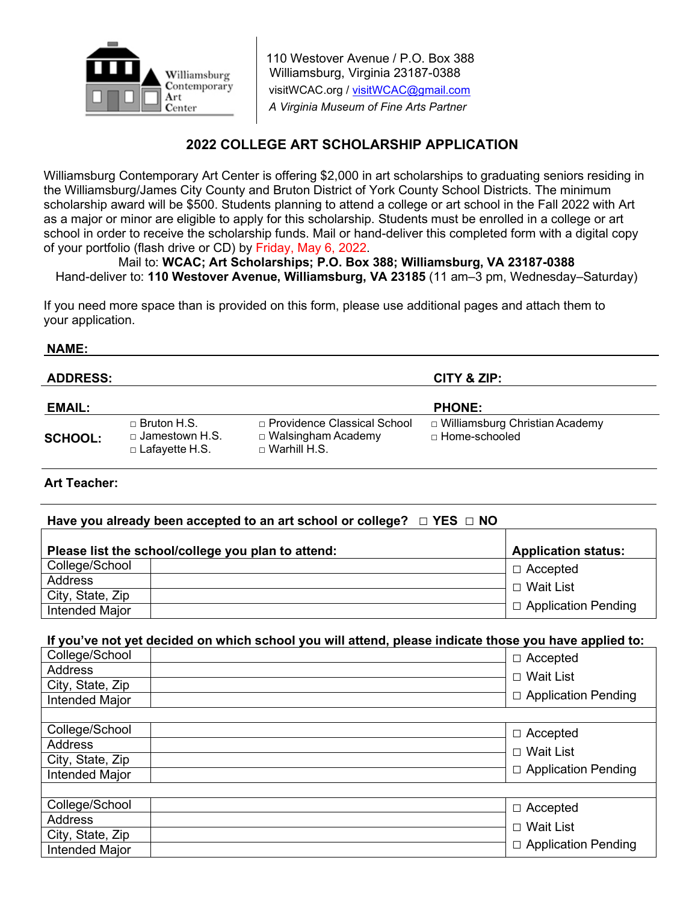

110 Westover Avenue / P.O. Box 388 Williamsburg, Virginia 23187-0388 visitWCAC.org / [visitWCAC@gmail.com](mailto:visitWCAC@gmail.com)  *A Virginia Museum of Fine Arts Partner*

# **2022 COLLEGE ART SCHOLARSHIP APPLICATION**

Williamsburg Contemporary Art Center is offering \$2,000 in art scholarships to graduating seniors residing in the Williamsburg/James City County and Bruton District of York County School Districts. The minimum scholarship award will be \$500. Students planning to attend a college or art school in the Fall 2022 with Art as a major or minor are eligible to apply for this scholarship. Students must be enrolled in a college or art school in order to receive the scholarship funds. Mail or hand-deliver this completed form with a digital copy of your portfolio (flash drive or CD) by Friday, May 6, 2022.

Mail to: **WCAC; Art Scholarships; P.O. Box 388; Williamsburg, VA 23187-0388** Hand-deliver to: **110 Westover Avenue, Williamsburg, VA 23185** (11 am–3 pm, Wednesday–Saturday)

If you need more space than is provided on this form, please use additional pages and attach them to your application.

#### **NAME:**

| <b>ADDRESS:</b> |                                                                      |                                                                                     | CITY & ZIP:                                         |
|-----------------|----------------------------------------------------------------------|-------------------------------------------------------------------------------------|-----------------------------------------------------|
| <b>EMAIL:</b>   |                                                                      |                                                                                     | <b>PHONE:</b>                                       |
| <b>SCHOOL:</b>  | $\Box$ Bruton H.S.<br>$\Box$ Jamestown H.S.<br>$\Box$ Lafayette H.S. | $\Box$ Providence Classical School<br>□ Walsingham Academy<br>$\sqcap$ Warhill H.S. | □ Williamsburg Christian Academy<br>□ Home-schooled |

### **Art Teacher:**

## **Have you already been accepted to an art school or college? □ YES □ NO**

| Please list the school/college you plan to attend: | <b>Application status:</b> |                            |
|----------------------------------------------------|----------------------------|----------------------------|
| College/School                                     |                            | $\Box$ Accepted            |
| Address                                            |                            | □ Wait List                |
| City, State, Zip                                   |                            |                            |
| Intended Major                                     |                            | $\Box$ Application Pending |

### **If you've not yet decided on which school you will attend, please indicate those you have applied to:**

| College/School   | $\Box$ Accepted            |
|------------------|----------------------------|
| <b>Address</b>   | $\Box$ Wait List           |
| City, State, Zip |                            |
| Intended Major   | □ Application Pending      |
|                  |                            |
| College/School   | $\Box$ Accepted            |
| <b>Address</b>   | □ Wait List                |
| City, State, Zip |                            |
| Intended Major   | $\Box$ Application Pending |
|                  |                            |
| College/School   | $\Box$ Accepted            |
| <b>Address</b>   | $\Box$ Wait List           |
| City, State, Zip |                            |
| Intended Major   | $\Box$ Application Pending |